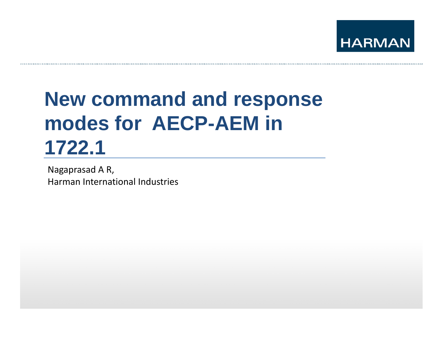

# **New command and res ponse modes for AECP-AEM in 1722 1.1**

Nagaprasad A R, Harman International Industries

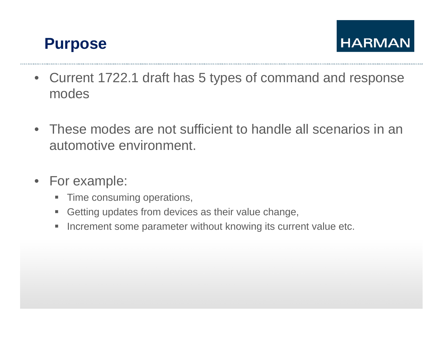

- Current 1722.1 draft has 5 types of command and response modes
- These modes are not sufficient to handle all scenarios in an automotive environment.
- For example:
	- **Time consuming operations,**
	- ш Getting updates from devices as their value change,
	- $\blacksquare$ Increment some parameter without knowing its current value etc.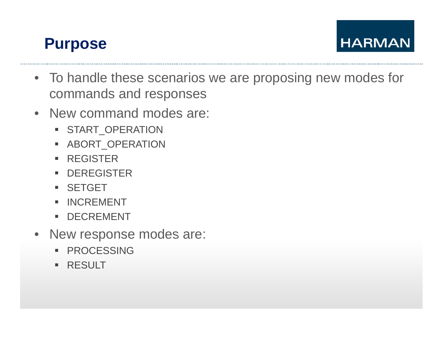### **Purpose**

- To handle these scenarios we are proposing new modes for commands and responses
- New command modes are:
	- START\_OPERATION
	- ABORT\_OPERATION
	- REGISTER
	- DEREGISTER
	- SETGET
	- **INCREMENT**
	- DECREMENT
- New response modes are:
	- **PROCESSING**
	- RESULT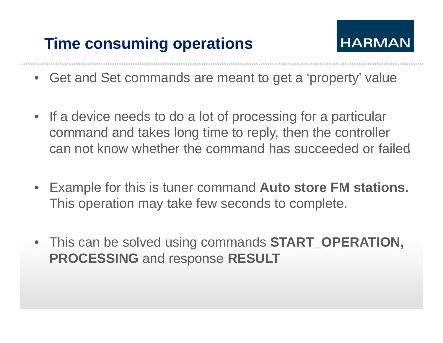# **Time consuming operations**



- Get and Set commands are meant to get a 'property' value
- If a device needs to do a lot of processing for a particular command and takes long time to reply, then the controller can not know whether the command has succeeded or failed
- $\bullet$  Exam ple for this is tuner command **Auto store FM stations.**  This operation may take few seconds to complete.
- This can be solved using commands **START\_OPERATION, PROCESSING** and response **RESULT**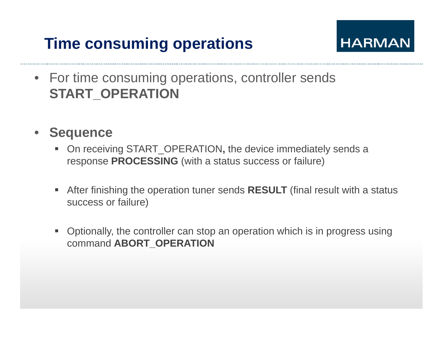# **Time consuming operations**



- For time consuming operations, controller sends **START\_OPERATION**
- • **Sequence**
	- **On receiving START\_OPERATION, the device immediately sends a** response **PROCESSING** (with a status success or failure)
	- After finishing the operation tuner sends **RESULT** (final result with <sup>a</sup> status success or failure)
	- Optionally, the controller can stop an operation which is in progress using command **ABORT\_OPERATION**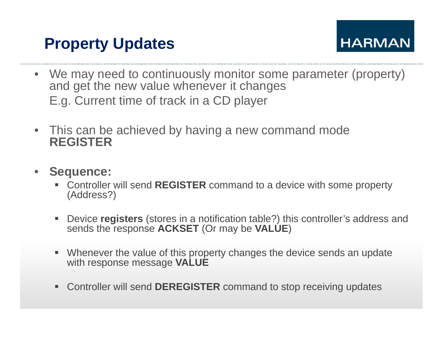### **Property Updates**



- We may need to continuously monitor some parameter (property) and get the new value whenever it changes E.g. Current time of track in a CD player
- $\bullet$  This can be achieved by having a new command mode **REGISTER**
- • **Sequence:**
	- ▉ Controller will send **REGISTER** command to a device with some property (Address?)
	- $\blacksquare$  Device **registers** (stores in a notification table?) this controller's address and sends the response **ACKSET** (Or may be **VALUE**)
	- Whenever the value of this property changes the device sends an update with response message **VALUE**
	- Controller will send **DEREGISTER** command to stop receiving updates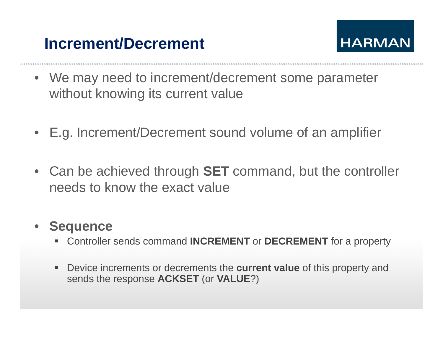# **Increment/Decrement**



- We may need to increment/decrement some parameter without knowing its current value
- E.g. Increment/Decrement sound volume of an amplifier
- Can be achieved through **SET** command, but the controller needs to know the exact value

#### •**Sequence**

- Controller sends command **INCREMENT** or **DECREMENT** for a property
- Device increments or decrements the **current value** of this property and sends the response **ACKSET** (or **VALUE**?)